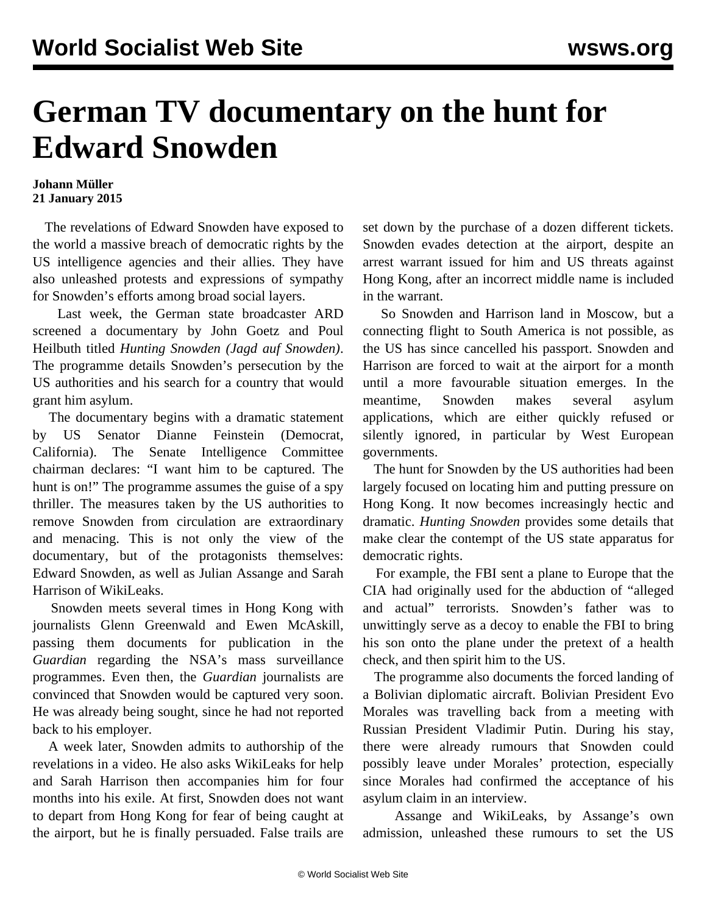## **German TV documentary on the hunt for Edward Snowden**

## **Johann Müller 21 January 2015**

 The revelations of Edward Snowden have exposed to the world a massive breach of democratic rights by the US intelligence agencies and their allies. They have also unleashed protests and expressions of sympathy for Snowden's efforts among broad social layers.

 Last week, the German state broadcaster ARD screened a documentary by John Goetz and Poul Heilbuth titled *Hunting Snowden (Jagd auf Snowden)*. The programme details Snowden's persecution by the US authorities and his search for a country that would grant him asylum.

 The documentary begins with a dramatic statement by US Senator Dianne Feinstein (Democrat, California). The Senate Intelligence Committee chairman declares: "I want him to be captured. The hunt is on!" The programme assumes the guise of a spy thriller. The measures taken by the US authorities to remove Snowden from circulation are extraordinary and menacing. This is not only the view of the documentary, but of the protagonists themselves: Edward Snowden, as well as Julian Assange and Sarah Harrison of WikiLeaks.

 Snowden meets several times in Hong Kong with journalists Glenn Greenwald and Ewen McAskill, passing them documents for publication in the *Guardian* regarding the NSA's mass surveillance programmes. Even then, the *Guardian* journalists are convinced that Snowden would be captured very soon. He was already being sought, since he had not reported back to his employer.

 A week later, Snowden admits to authorship of the revelations in a video. He also asks WikiLeaks for help and Sarah Harrison then accompanies him for four months into his exile. At first, Snowden does not want to depart from Hong Kong for fear of being caught at the airport, but he is finally persuaded. False trails are

set down by the purchase of a dozen different tickets. Snowden evades detection at the airport, despite an arrest warrant issued for him and US threats against Hong Kong, after an incorrect middle name is included in the warrant.

 So Snowden and Harrison land in Moscow, but a connecting flight to South America is not possible, as the US has since cancelled his passport. Snowden and Harrison are forced to wait at the airport for a month until a more favourable situation emerges. In the meantime, Snowden makes several asylum applications, which are either quickly refused or silently ignored, in particular by West European governments.

 The hunt for Snowden by the US authorities had been largely focused on locating him and putting pressure on Hong Kong. It now becomes increasingly hectic and dramatic. *Hunting Snowden* provides some details that make clear the contempt of the US state apparatus for democratic rights.

 For example, the FBI sent a plane to Europe that the CIA had originally used for the abduction of "alleged and actual" terrorists. Snowden's father was to unwittingly serve as a decoy to enable the FBI to bring his son onto the plane under the pretext of a health check, and then spirit him to the US.

 The programme also documents the forced landing of a Bolivian diplomatic aircraft. Bolivian President Evo Morales was travelling back from a meeting with Russian President Vladimir Putin. During his stay, there were already rumours that Snowden could possibly leave under Morales' protection, especially since Morales had confirmed the acceptance of his asylum claim in an interview.

 Assange and WikiLeaks, by Assange's own admission, unleashed these rumours to set the US